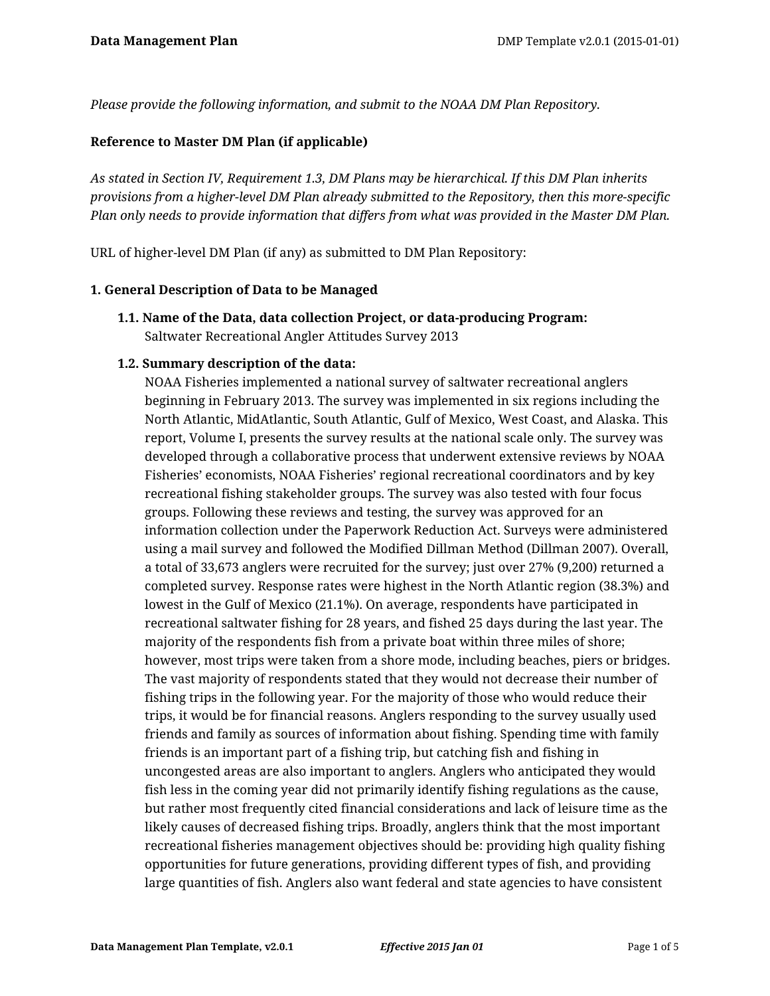*Please provide the following information, and submit to the NOAA DM Plan Repository.*

### **Reference to Master DM Plan (if applicable)**

*As stated in Section IV, Requirement 1.3, DM Plans may be hierarchical. If this DM Plan inherits provisions from a higher-level DM Plan already submitted to the Repository, then this more-specific Plan only needs to provide information that differs from what was provided in the Master DM Plan.*

URL of higher-level DM Plan (if any) as submitted to DM Plan Repository:

### **1. General Description of Data to be Managed**

**1.1. Name of the Data, data collection Project, or data-producing Program:** Saltwater Recreational Angler Attitudes Survey 2013

### **1.2. Summary description of the data:**

NOAA Fisheries implemented a national survey of saltwater recreational anglers beginning in February 2013. The survey was implemented in six regions including the North Atlantic, MidAtlantic, South Atlantic, Gulf of Mexico, West Coast, and Alaska. This report, Volume I, presents the survey results at the national scale only. The survey was developed through a collaborative process that underwent extensive reviews by NOAA Fisheries' economists, NOAA Fisheries' regional recreational coordinators and by key recreational fishing stakeholder groups. The survey was also tested with four focus groups. Following these reviews and testing, the survey was approved for an information collection under the Paperwork Reduction Act. Surveys were administered using a mail survey and followed the Modified Dillman Method (Dillman 2007). Overall, a total of 33,673 anglers were recruited for the survey; just over 27% (9,200) returned a completed survey. Response rates were highest in the North Atlantic region (38.3%) and lowest in the Gulf of Mexico (21.1%). On average, respondents have participated in recreational saltwater fishing for 28 years, and fished 25 days during the last year. The majority of the respondents fish from a private boat within three miles of shore; however, most trips were taken from a shore mode, including beaches, piers or bridges. The vast majority of respondents stated that they would not decrease their number of fishing trips in the following year. For the majority of those who would reduce their trips, it would be for financial reasons. Anglers responding to the survey usually used friends and family as sources of information about fishing. Spending time with family friends is an important part of a fishing trip, but catching fish and fishing in uncongested areas are also important to anglers. Anglers who anticipated they would fish less in the coming year did not primarily identify fishing regulations as the cause, but rather most frequently cited financial considerations and lack of leisure time as the likely causes of decreased fishing trips. Broadly, anglers think that the most important recreational fisheries management objectives should be: providing high quality fishing opportunities for future generations, providing different types of fish, and providing large quantities of fish. Anglers also want federal and state agencies to have consistent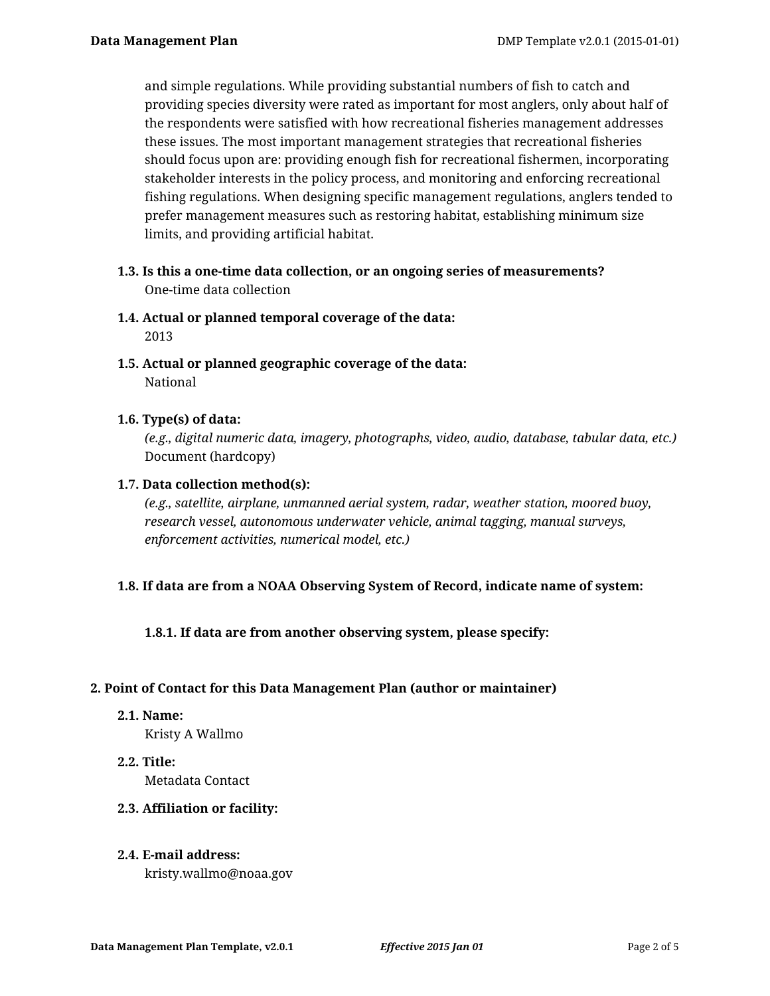and simple regulations. While providing substantial numbers of fish to catch and providing species diversity were rated as important for most anglers, only about half of the respondents were satisfied with how recreational fisheries management addresses these issues. The most important management strategies that recreational fisheries should focus upon are: providing enough fish for recreational fishermen, incorporating stakeholder interests in the policy process, and monitoring and enforcing recreational fishing regulations. When designing specific management regulations, anglers tended to prefer management measures such as restoring habitat, establishing minimum size limits, and providing artificial habitat.

- **1.3. Is this a one-time data collection, or an ongoing series of measurements?** One-time data collection
- **1.4. Actual or planned temporal coverage of the data:** 2013
- **1.5. Actual or planned geographic coverage of the data:** National

## **1.6. Type(s) of data:**

*(e.g., digital numeric data, imagery, photographs, video, audio, database, tabular data, etc.)* Document (hardcopy)

## **1.7. Data collection method(s):**

*(e.g., satellite, airplane, unmanned aerial system, radar, weather station, moored buoy, research vessel, autonomous underwater vehicle, animal tagging, manual surveys, enforcement activities, numerical model, etc.)*

## **1.8. If data are from a NOAA Observing System of Record, indicate name of system:**

**1.8.1. If data are from another observing system, please specify:**

## **2. Point of Contact for this Data Management Plan (author or maintainer)**

**2.1. Name:**

Kristy A Wallmo

**2.2. Title:**

Metadata Contact

## **2.3. Affiliation or facility:**

## **2.4. E-mail address:**

kristy.wallmo@noaa.gov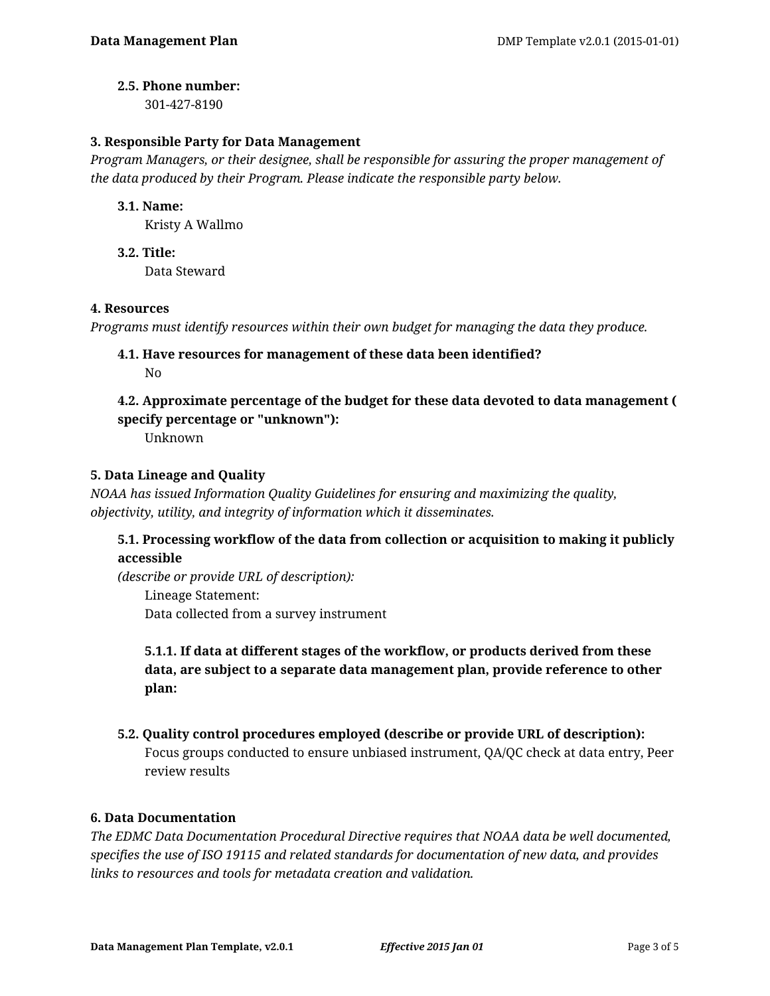### **2.5. Phone number:**

301-427-8190

### **3. Responsible Party for Data Management**

*Program Managers, or their designee, shall be responsible for assuring the proper management of the data produced by their Program. Please indicate the responsible party below.*

### **3.1. Name:**

Kristy A Wallmo

**3.2. Title:** Data Steward

### **4. Resources**

*Programs must identify resources within their own budget for managing the data they produce.*

**4.1. Have resources for management of these data been identified?** No

# **4.2. Approximate percentage of the budget for these data devoted to data management ( specify percentage or "unknown"):**

Unknown

## **5. Data Lineage and Quality**

*NOAA has issued Information Quality Guidelines for ensuring and maximizing the quality, objectivity, utility, and integrity of information which it disseminates.*

## **5.1. Processing workflow of the data from collection or acquisition to making it publicly accessible**

*(describe or provide URL of description):* Lineage Statement: Data collected from a survey instrument

**5.1.1. If data at different stages of the workflow, or products derived from these data, are subject to a separate data management plan, provide reference to other plan:**

**5.2. Quality control procedures employed (describe or provide URL of description):** Focus groups conducted to ensure unbiased instrument, QA/QC check at data entry, Peer review results

### **6. Data Documentation**

*The EDMC Data Documentation Procedural Directive requires that NOAA data be well documented, specifies the use of ISO 19115 and related standards for documentation of new data, and provides links to resources and tools for metadata creation and validation.*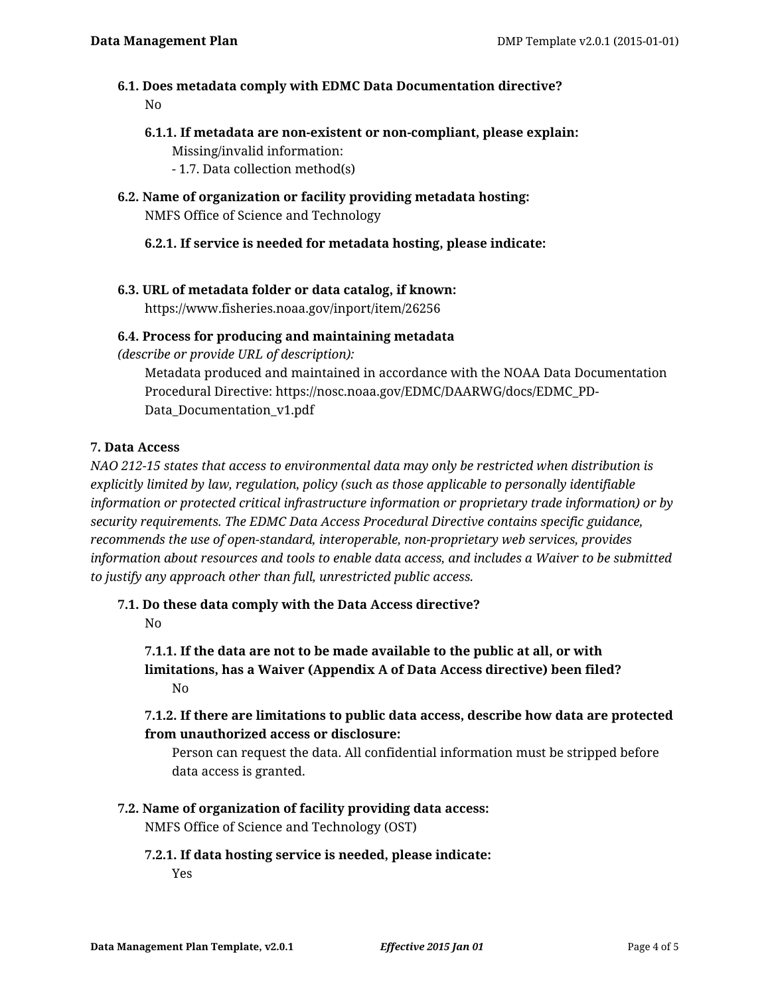## **6.1. Does metadata comply with EDMC Data Documentation directive?** No

- **6.1.1. If metadata are non-existent or non-compliant, please explain:** Missing/invalid information:
	- 1.7. Data collection method(s)
- **6.2. Name of organization or facility providing metadata hosting:** NMFS Office of Science and Technology
	- **6.2.1. If service is needed for metadata hosting, please indicate:**
- **6.3. URL of metadata folder or data catalog, if known:**

https://www.fisheries.noaa.gov/inport/item/26256

## **6.4. Process for producing and maintaining metadata**

*(describe or provide URL of description):*

Metadata produced and maintained in accordance with the NOAA Data Documentation Procedural Directive: https://nosc.noaa.gov/EDMC/DAARWG/docs/EDMC\_PD-Data\_Documentation\_v1.pdf

## **7. Data Access**

*NAO 212-15 states that access to environmental data may only be restricted when distribution is explicitly limited by law, regulation, policy (such as those applicable to personally identifiable information or protected critical infrastructure information or proprietary trade information) or by security requirements. The EDMC Data Access Procedural Directive contains specific guidance, recommends the use of open-standard, interoperable, non-proprietary web services, provides information about resources and tools to enable data access, and includes a Waiver to be submitted to justify any approach other than full, unrestricted public access.*

**7.1. Do these data comply with the Data Access directive?**

No

**7.1.1. If the data are not to be made available to the public at all, or with limitations, has a Waiver (Appendix A of Data Access directive) been filed?** No

**7.1.2. If there are limitations to public data access, describe how data are protected from unauthorized access or disclosure:**

Person can request the data. All confidential information must be stripped before data access is granted.

**7.2. Name of organization of facility providing data access:**

NMFS Office of Science and Technology (OST)

**7.2.1. If data hosting service is needed, please indicate:** Yes